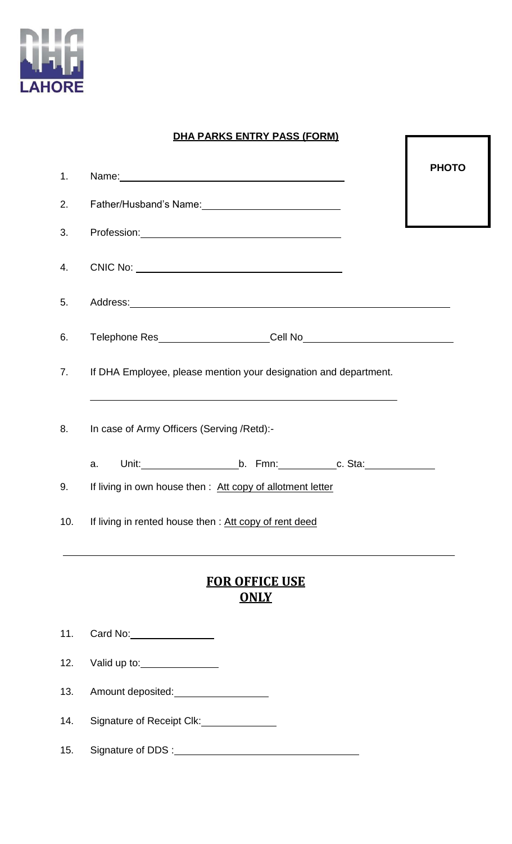

## **DHA PARKS ENTRY PASS (FORM)**

I

| 1.                                   |                                                                                                                                                         | <b>PHOTO</b> |  |  |  |
|--------------------------------------|---------------------------------------------------------------------------------------------------------------------------------------------------------|--------------|--|--|--|
| 2.                                   | Father/Husband's Name: 1997                                                                                                                             |              |  |  |  |
| 3.                                   |                                                                                                                                                         |              |  |  |  |
| 4.                                   |                                                                                                                                                         |              |  |  |  |
| 5.                                   | Address: Address: Address: Address: Address: Address: Address: Address: Address: Address: Address: A                                                    |              |  |  |  |
| 6.                                   |                                                                                                                                                         |              |  |  |  |
|                                      | 7. If DHA Employee, please mention your designation and department.<br>,我们也不会有什么。""我们的人,我们也不会有什么?""我们的人,我们也不会有什么?""我们的人,我们也不会有什么?""我们的人,我们也不会有什么?""我们的人 |              |  |  |  |
| 8.                                   | In case of Army Officers (Serving /Retd):-                                                                                                              |              |  |  |  |
|                                      | a.                                                                                                                                                      |              |  |  |  |
| 9.                                   | If living in own house then : Att copy of allotment letter                                                                                              |              |  |  |  |
| 10.                                  | If living in rented house then : Att copy of rent deed                                                                                                  |              |  |  |  |
| <b>FOR OFFICE USE</b><br><u>ONLY</u> |                                                                                                                                                         |              |  |  |  |
| 11.                                  | Card No: __________________                                                                                                                             |              |  |  |  |
| 12.                                  | Valid up to: ________________                                                                                                                           |              |  |  |  |
| 13.                                  | Amount deposited: <u>contained</u>                                                                                                                      |              |  |  |  |
| 14.                                  | Signature of Receipt Clk:<br><u>Classe</u>                                                                                                              |              |  |  |  |

15. Signature of DDS :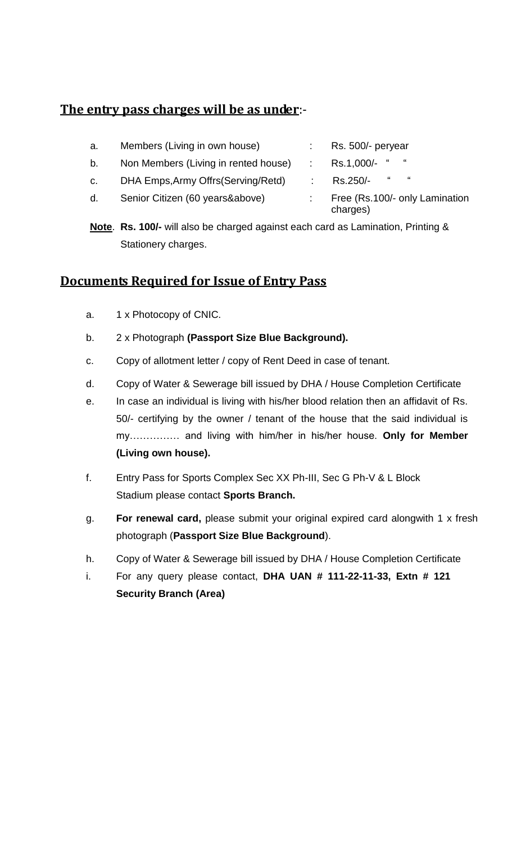## **The entry pass charges will be as under**:-

| а. | Members (Living in own house)        | Rs. 500/- peryear                          |
|----|--------------------------------------|--------------------------------------------|
| b. | Non Members (Living in rented house) | $\epsilon$<br>"<br>Rs.1,000/-              |
| C. | DHA Emps, Army Offrs (Serving/Retd)  | $\boldsymbol{\mu}$<br>"<br>Rs.250/-        |
| d. | Senior Citizen (60 years&above)      | Free (Rs.100/- only Lamination<br>charges) |

**Note**. **Rs. 100/-** will also be charged against each card as Lamination, Printing & Stationery charges.

## **Documents Required for Issue of Entry Pass**

- a. 1 x Photocopy of CNIC.
- b. 2 x Photograph **(Passport Size Blue Background).**
- c. Copy of allotment letter / copy of Rent Deed in case of tenant.
- d. Copy of Water & Sewerage bill issued by DHA / House Completion Certificate
- e. In case an individual is living with his/her blood relation then an affidavit of Rs. 50/- certifying by the owner / tenant of the house that the said individual is my…………… and living with him/her in his/her house. **Only for Member (Living own house).**
- f. Entry Pass for Sports Complex Sec XX Ph-III, Sec G Ph-V & L Block Stadium please contact **Sports Branch.**
- g. **For renewal card,** please submit your original expired card alongwith 1 x fresh photograph (**Passport Size Blue Background**).
- h. Copy of Water & Sewerage bill issued by DHA / House Completion Certificate
- i. For any query please contact, **DHA UAN # 111-22-11-33, Extn # 121 Security Branch (Area)**